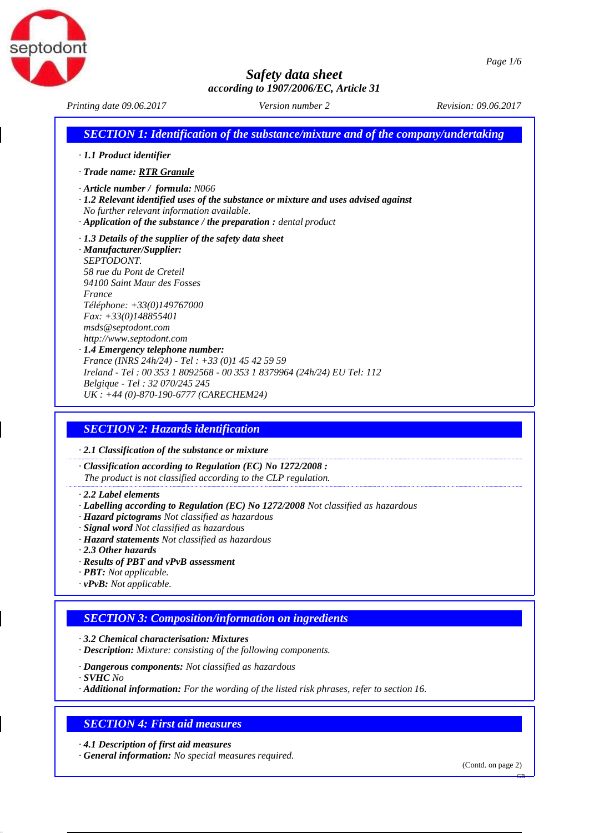

### *Safety data sheet according to 1907/2006/EC, Article 31*

*Printing date 09.06.2017 Version number 2 Revision: 09.06.2017*

*· 1.1 Product identifier · Trade name: RTR Granule · Article number / formula: N066 · 1.2 Relevant identified uses of the substance or mixture and uses advised against No further relevant information available. · Application of the substance / the preparation : dental product · 1.3 Details of the supplier of the safety data sheet · Manufacturer/Supplier: SEPTODONT. 58 rue du Pont de Creteil 94100 Saint Maur des Fosses France Téléphone: +33(0)149767000 Fax: +33(0)148855401 [msds@septodont.com](mailto:msds@septodont.com) [http://www.septodont.com](http://www.septodont.com/) · 1.4 Emergency telephone number: France (INRS 24h/24) - Tel : +33 (0)1 45 42 59 59 Ireland - Tel : 00 353 1 8092568 - 00 353 1 8379964 (24h/24) EU Tel: 112 Belgique - Tel : 32 070/245 245 UK : +44 (0)-870-190-6777 (CARECHEM24) SECTION 1: Identification of the substance/mixture and of the company/undertaking*

### *SECTION 2: Hazards identification*

*· 2.1 Classification of the substance or mixture*

*· Classification according to Regulation (EC) No 1272/2008 : The product is not classified according to the CLP regulation.*

#### *· 2.2 Label elements*

*· Labelling according to Regulation (EC) No 1272/2008 Not classified as hazardous*

- *· Hazard pictograms Not classified as hazardous*
- *· Signal word Not classified as hazardous*
- *· Hazard statements Not classified as hazardous*
- *· 2.3 Other hazards*
- *· Results of PBT and vPvB assessment*
- *· PBT: Not applicable.*
- *· vPvB: Not applicable.*

### *SECTION 3: Composition/information on ingredients*

*· 3.2 Chemical characterisation: Mixtures*

- *· Description: Mixture: consisting of the following components.*
- *· Dangerous components: Not classified as hazardous*
- *· SVHC No*
- *· Additional information: For the wording of the listed risk phrases, refer to section 16.*

# *SECTION 4: First aid measures*

*· 4.1 Description of first aid measures*

*· General information: No special measures required.*

(Contd. on page 2)

GB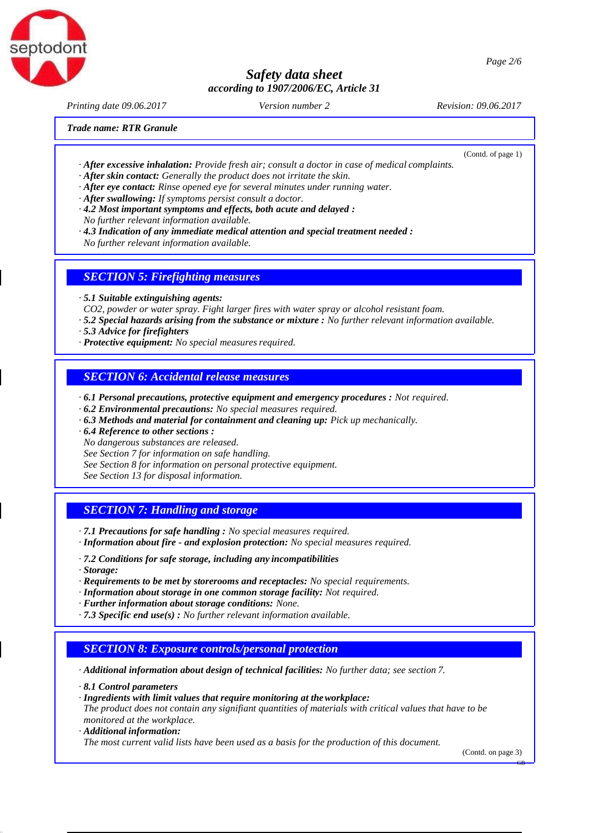# *Safety data sheet according to 1907/2006/EC, Article 31*



*Printing date 09.06.2017 Version number 2 Revision: 09.06.2017*

*Trade name: RTR Granule*

(Contd. of page 1)

- *· After excessive inhalation: Provide fresh air; consult a doctor in case of medical complaints.*
- *· After skin contact: Generally the product does not irritate the skin.*
- *· After eye contact: Rinse opened eye for several minutes under running water.*
- *· After swallowing: If symptoms persist consult a doctor.*
- *· 4.2 Most important symptoms and effects, both acute and delayed :*
- *No further relevant information available.*
- *· 4.3 Indication of any immediate medical attention and special treatment needed :*
- *No further relevant information available.*

#### *SECTION 5: Firefighting measures*

- *· 5.1 Suitable extinguishing agents:*
- *CO2, powder or water spray. Fight larger fires with water spray or alcohol resistant foam.*
- *· 5.2 Special hazards arising from the substance or mixture : No further relevant information available.*
- *· 5.3 Advice for firefighters*
- *· Protective equipment: No special measures required.*

#### *SECTION 6: Accidental release measures*

- *· 6.1 Personal precautions, protective equipment and emergency procedures : Not required.*
- *· 6.2 Environmental precautions: No special measures required.*
- *· 6.3 Methods and material for containment and cleaning up: Pick up mechanically.*
- *· 6.4 Reference to other sections :*
- *No dangerous substances are released.*
- *See Section 7 for information on safe handling.*
- *See Section 8 for information on personal protective equipment.*
- *See Section 13 for disposal information.*

### *SECTION 7: Handling and storage*

- *· 7.1 Precautions for safe handling : No special measures required.*
- *· Information about fire - and explosion protection: No special measures required.*
- *· 7.2 Conditions for safe storage, including any incompatibilities*
- *· Storage:*
- *· Requirements to be met by storerooms and receptacles: No special requirements.*
- *· Information about storage in one common storage facility: Not required.*
- *· Further information about storage conditions: None.*
- *· 7.3 Specific end use(s) : No further relevant information available.*

#### *SECTION 8: Exposure controls/personal protection*

*· Additional information about design of technical facilities: No further data; see section 7.*

- *· 8.1 Control parameters*
- *· Ingredients with limit values that require monitoring at theworkplace:*

*The product does not contain any signifiant quantities of materials with critical values that have to be monitored at the workplace.*

*· Additional information:*

*The most current valid lists have been used as a basis for the production of this document.*

(Contd. on page 3)

GB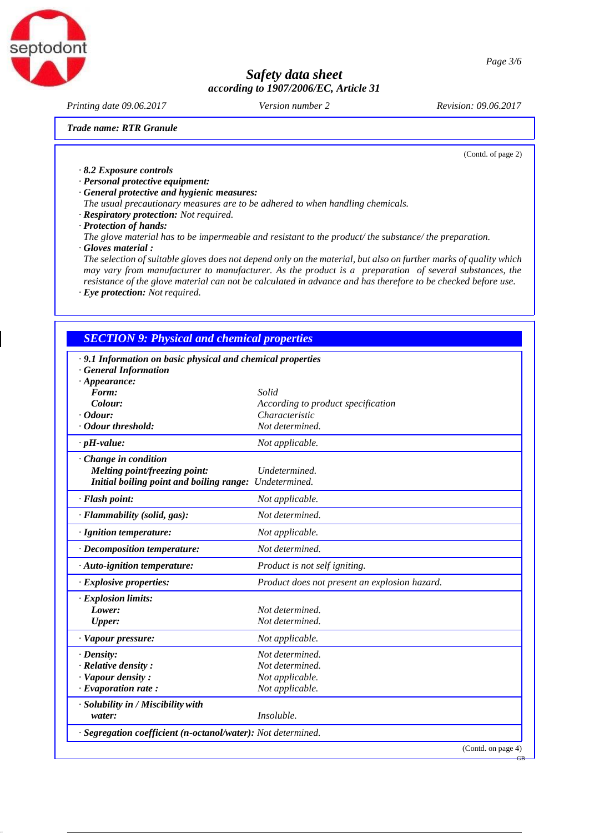# *Safety data sheet according to 1907/2006/EC, Article 31*

septodont

*Printing date 09.06.2017 Version number 2 Revision: 09.06.2017*

*Trade name: RTR Granule*

(Contd. of page 2)

- *· 8.2 Exposure controls*
- *· Personal protective equipment: · General protective and hygienic measures:*
- *The usual precautionary measures are to be adhered to when handling chemicals.*
- *· Respiratory protection: Not required.*
- *· Protection of hands:*
- *The glove material has to be impermeable and resistant to the product/ the substance/ the preparation. · Gloves material :*
- 
- *The selection of suitable gloves does not depend only on the material, but also on further marks of quality which may vary from manufacturer to manufacturer. As the product is a preparation of several substances, the resistance of the glove material can not be calculated in advance and has therefore to be checked before use.*
- *· Eye protection: Notrequired.*

#### *SECTION 9: Physical and chemical properties*

| · General Information<br>$\cdot$ Appearance:                 |                                               |
|--------------------------------------------------------------|-----------------------------------------------|
| Form:                                                        | Solid                                         |
| Colour:                                                      | According to product specification            |
| $\cdot$ Odour:                                               | Characteristic                                |
| Odour threshold:                                             | Not determined.                               |
| $\cdot$ pH-value:                                            | Not applicable.                               |
| · Change in condition                                        |                                               |
| Melting point/freezing point:                                | Undetermined.                                 |
| Initial boiling point and boiling range: Undetermined.       |                                               |
| · Flash point:                                               | Not applicable.                               |
| · Flammability (solid, gas):                                 | Not determined.                               |
| · Ignition temperature:                                      | Not applicable.                               |
| $\cdot$ Decomposition temperature:                           | Not determined.                               |
| $\cdot$ Auto-ignition temperature:                           | Product is not self igniting.                 |
| · Explosive properties:                                      | Product does not present an explosion hazard. |
| · Explosion limits:                                          |                                               |
| Lower:                                                       | Not determined.                               |
| <b>Upper:</b>                                                | Not determined.                               |
| · Vapour pressure:                                           | Not applicable.                               |
| $\cdot$ Density:                                             | Not determined.                               |
| $\cdot$ Relative density:                                    | Not determined.                               |
| · Vapour density:                                            | Not applicable.                               |
| $\cdot$ Evaporation rate :                                   | Not applicable.                               |
| · Solubility in / Miscibility with                           |                                               |
| water:                                                       | Insoluble.                                    |
| · Segregation coefficient (n-octanol/water): Not determined. |                                               |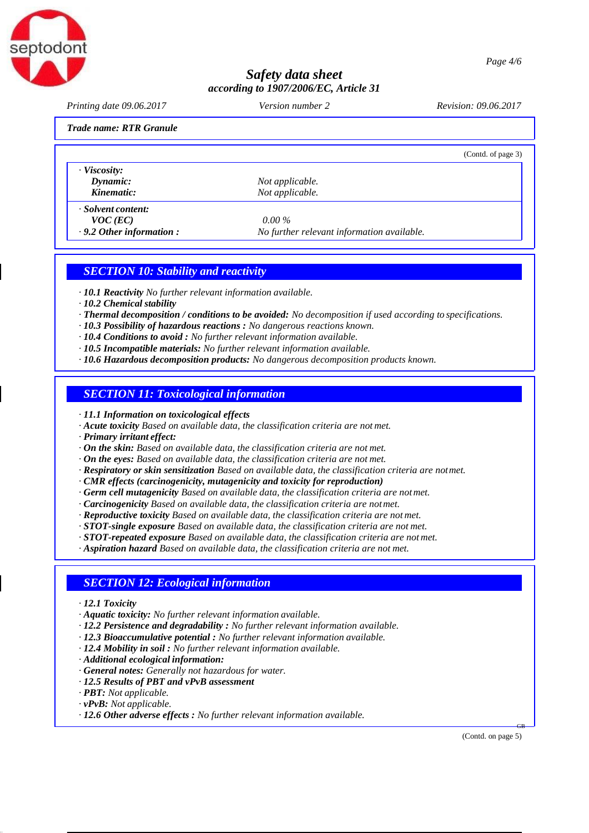

*Page 4/6*

# *Safety data sheet according to 1907/2006/EC, Article 31*

*Printing date 09.06.2017 Version number 2 Revision: 09.06.2017*

*Trade name: RTR Granule*

(Contd. of page 3)

*· Viscosity:*

*Dynamic: Not applicable.*<br> *Not applicable.*<br> *Not applicable.*  $Not$  *<i>applicable*.

*· Solvent content:*

*VOC* (*EC*) 0.00 %<br>**9.2 Other information :** No furth

*· 9.2 Other information : No further relevant information available.*

### *SECTION 10: Stability and reactivity*

*· 10.1 Reactivity No further relevant information available.*

- *· 10.2 Chemical stability*
- *· Thermal decomposition / conditions to be avoided: No decomposition if used according to specifications.*
- *· 10.3 Possibility of hazardous reactions : No dangerous reactions known.*
- *· 10.4 Conditions to avoid : No further relevant information available.*
- *· 10.5 Incompatible materials: No further relevant information available.*
- *· 10.6 Hazardous decomposition products: No dangerous decomposition products known.*

### *SECTION 11: Toxicological information*

*· 11.1 Information on toxicological effects*

*· Acute toxicity Based on available data, the classification criteria are not met.*

- *· Primary irritant effect:*
- *· On the skin: Based on available data, the classification criteria are not met.*
- *· On the eyes: Based on available data, the classification criteria are not met.*
- *· Respiratory or skin sensitization Based on available data, the classification criteria are notmet.*
- *· CMR effects (carcinogenicity, mutagenicity and toxicity for reproduction)*
- *· Germ cell mutagenicity Based on available data, the classification criteria are notmet.*
- *· Carcinogenicity Based on available data, the classification criteria are notmet.*
- *· Reproductive toxicity Based on available data, the classification criteria are not met.*
- *· STOT-single exposure Based on available data, the classification criteria are not met.*
- *· STOT-repeated exposure Based on available data, the classification criteria are not met.*
- *· Aspiration hazard Based on available data, the classification criteria are not met.*

### *SECTION 12: Ecological information*

- *· 12.1 Toxicity*
- *· Aquatic toxicity: No further relevant information available.*
- *· 12.2 Persistence and degradability : No further relevant information available.*
- *· 12.3 Bioaccumulative potential : No further relevant information available.*
- *· 12.4 Mobility in soil : No further relevant information available.*
- *· Additional ecological information:*
- *· General notes: Generally not hazardous for water.*
- *· 12.5 Results of PBT and vPvB assessment*
- *· PBT: Not applicable.*
- *· vPvB: Not applicable.*
- *· 12.6 Other adverse effects : No further relevant information available.*

(Contd. on page 5)

GB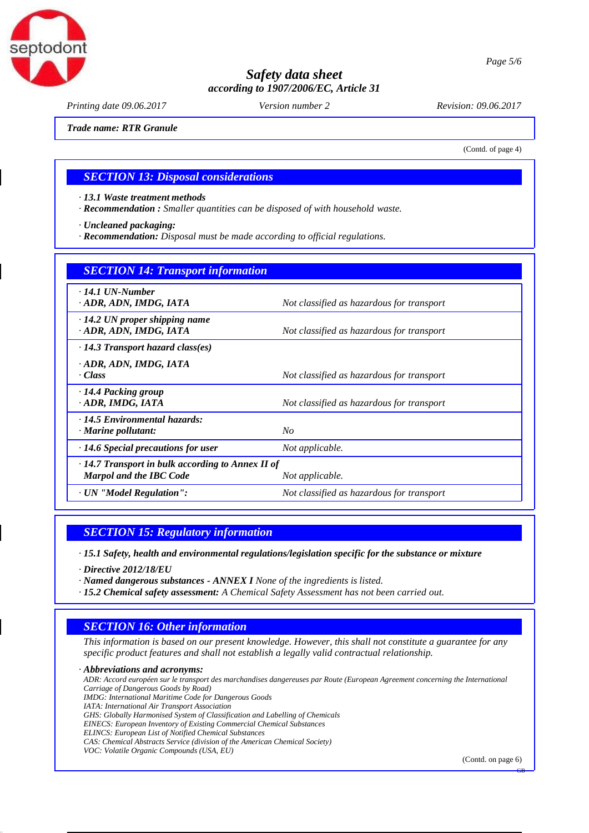

*Page 5/6*

# *Safety data sheet according to 1907/2006/EC, Article 31*

*Printing date 09.06.2017 Version number 2 Revision: 09.06.2017*

*Trade name: RTR Granule*

(Contd. of page 4)

#### *SECTION 13: Disposal considerations*

*· 13.1 Waste treatment methods*

*· Recommendation : Smaller quantities can be disposed of with household waste.*

*· Uncleaned packaging:*

*· Recommendation: Disposal must be made according to official regulations.*

| <b>SECTION 14: Transport information</b>                                                                     |                                           |
|--------------------------------------------------------------------------------------------------------------|-------------------------------------------|
| $\cdot$ 14.1 UN-Number<br>· ADR, ADN, IMDG, IATA                                                             | Not classified as hazardous for transport |
| $\cdot$ 14.2 UN proper shipping name<br>ADR, ADN, IMDG, IATA                                                 | Not classified as hazardous for transport |
| $\cdot$ 14.3 Transport hazard class(es)                                                                      |                                           |
| · ADR, ADN, IMDG, IATA<br>· Class                                                                            | Not classified as hazardous for transport |
| · 14.4 Packing group<br>· ADR, IMDG, IATA                                                                    | Not classified as hazardous for transport |
| $\cdot$ 14.5 Environmental hazards:<br>$\cdot$ Marine pollutant:                                             | N <sub>O</sub>                            |
| $\cdot$ 14.6 Special precautions for user                                                                    | Not applicable.                           |
| $\cdot$ 14.7 Transport in bulk according to Annex II of<br><b>Marpol and the IBC Code</b><br>Not applicable. |                                           |
| · UN "Model Regulation":                                                                                     | Not classified as hazardous for transport |

### *SECTION 15: Regulatory information*

*· 15.1 Safety, health and environmental regulations/legislation specific for the substance or mixture*

*· Directive 2012/18/EU*

*· Named dangerous substances - ANNEX I None of the ingredients is listed.*

*· 15.2 Chemical safety assessment: A Chemical Safety Assessment has not been carried out.*

# *SECTION 16: Other information*

*This information is based on our present knowledge. However, this shall not constitute a guarantee for any specific product features and shall not establish a legally valid contractual relationship.*

*· Abbreviations and acronyms:*

*ADR: Accord européen sur le transport des marchandises dangereuses par Route (European Agreement concerning the International Carriage of Dangerous Goods by Road) IMDG: International Maritime Code for Dangerous Goods IATA: International Air Transport Association GHS: Globally Harmonised System of Classification and Labelling of Chemicals EINECS: European Inventory of Existing Commercial Chemical Substances ELINCS: European List of Notified Chemical Substances CAS: Chemical Abstracts Service (division of the American Chemical Society)* 

*VOC: Volatile Organic Compounds (USA, EU)*

(Contd. on page 6)

GB